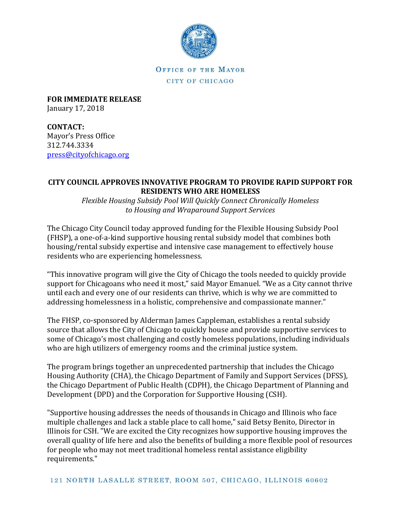

OFFICE OF THE MAYOR CITY OF CHICAGO

**FOR IMMEDIATE RELEASE** January 17, 2018

**CONTACT:** Mayor's Press Office 312.744.3334 [press@cityofchicago.org](mailto:press@cityofchicago.org)

## **CITY COUNCIL APPROVES INNOVATIVE PROGRAM TO PROVIDE RAPID SUPPORT FOR RESIDENTS WHO ARE HOMELESS**

*Flexible Housing Subsidy Pool Will Quickly Connect Chronically Homeless to Housing and Wraparound Support Services*

The Chicago City Council today approved funding for the Flexible Housing Subsidy Pool (FHSP), a one-of-a-kind supportive housing rental subsidy model that combines both housing/rental subsidy expertise and intensive case management to effectively house residents who are experiencing homelessness.

"This innovative program will give the City of Chicago the tools needed to quickly provide support for Chicagoans who need it most," said Mayor Emanuel. "We as a City cannot thrive until each and every one of our residents can thrive, which is why we are committed to addressing homelessness in a holistic, comprehensive and compassionate manner."

The FHSP, co-sponsored by Alderman James Cappleman, establishes a rental subsidy source that allows the City of Chicago to quickly house and provide supportive services to some of Chicago's most challenging and costly homeless populations, including individuals who are high utilizers of emergency rooms and the criminal justice system.

The program brings together an unprecedented partnership that includes the Chicago Housing Authority (CHA), the Chicago Department of Family and Support Services (DFSS), the Chicago Department of Public Health (CDPH), the Chicago Department of Planning and Development (DPD) and the Corporation for Supportive Housing (CSH).

"Supportive housing addresses the needs of thousands in Chicago and Illinois who face multiple challenges and lack a stable place to call home," said Betsy Benito, Director in Illinois for CSH. "We are excited the City recognizes how supportive housing improves the overall quality of life here and also the benefits of building a more flexible pool of resources for people who may not meet traditional homeless rental assistance eligibility requirements."